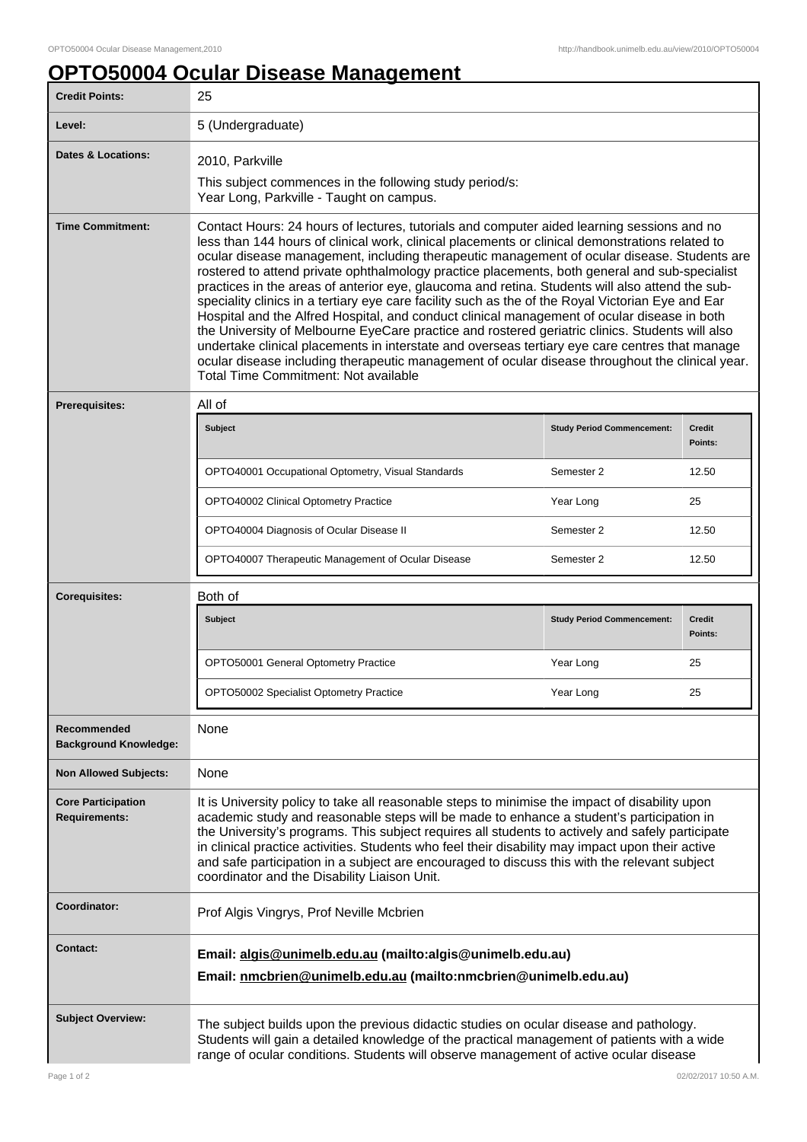## **OPTO50004 Ocular Disease Management**

| <b>Credit Points:</b>                             | 25                                                                                                                                                                                                                                                                                                                                                                                                                                                                                                                                                                                                                                                                                                                                                                                                                                                                                                                                                                                                                                                          |                                   |                          |
|---------------------------------------------------|-------------------------------------------------------------------------------------------------------------------------------------------------------------------------------------------------------------------------------------------------------------------------------------------------------------------------------------------------------------------------------------------------------------------------------------------------------------------------------------------------------------------------------------------------------------------------------------------------------------------------------------------------------------------------------------------------------------------------------------------------------------------------------------------------------------------------------------------------------------------------------------------------------------------------------------------------------------------------------------------------------------------------------------------------------------|-----------------------------------|--------------------------|
| Level:                                            | 5 (Undergraduate)                                                                                                                                                                                                                                                                                                                                                                                                                                                                                                                                                                                                                                                                                                                                                                                                                                                                                                                                                                                                                                           |                                   |                          |
| <b>Dates &amp; Locations:</b>                     | 2010, Parkville<br>This subject commences in the following study period/s:<br>Year Long, Parkville - Taught on campus.                                                                                                                                                                                                                                                                                                                                                                                                                                                                                                                                                                                                                                                                                                                                                                                                                                                                                                                                      |                                   |                          |
| <b>Time Commitment:</b>                           | Contact Hours: 24 hours of lectures, tutorials and computer aided learning sessions and no<br>less than 144 hours of clinical work, clinical placements or clinical demonstrations related to<br>ocular disease management, including therapeutic management of ocular disease. Students are<br>rostered to attend private ophthalmology practice placements, both general and sub-specialist<br>practices in the areas of anterior eye, glaucoma and retina. Students will also attend the sub-<br>speciality clinics in a tertiary eye care facility such as the of the Royal Victorian Eye and Ear<br>Hospital and the Alfred Hospital, and conduct clinical management of ocular disease in both<br>the University of Melbourne EyeCare practice and rostered geriatric clinics. Students will also<br>undertake clinical placements in interstate and overseas tertiary eye care centres that manage<br>ocular disease including therapeutic management of ocular disease throughout the clinical year.<br><b>Total Time Commitment: Not available</b> |                                   |                          |
| Prerequisites:                                    | All of                                                                                                                                                                                                                                                                                                                                                                                                                                                                                                                                                                                                                                                                                                                                                                                                                                                                                                                                                                                                                                                      |                                   |                          |
|                                                   | <b>Subject</b>                                                                                                                                                                                                                                                                                                                                                                                                                                                                                                                                                                                                                                                                                                                                                                                                                                                                                                                                                                                                                                              | <b>Study Period Commencement:</b> | <b>Credit</b><br>Points: |
|                                                   | OPTO40001 Occupational Optometry, Visual Standards                                                                                                                                                                                                                                                                                                                                                                                                                                                                                                                                                                                                                                                                                                                                                                                                                                                                                                                                                                                                          | Semester 2                        | 12.50                    |
|                                                   | OPTO40002 Clinical Optometry Practice                                                                                                                                                                                                                                                                                                                                                                                                                                                                                                                                                                                                                                                                                                                                                                                                                                                                                                                                                                                                                       | Year Long                         | 25                       |
|                                                   | OPTO40004 Diagnosis of Ocular Disease II                                                                                                                                                                                                                                                                                                                                                                                                                                                                                                                                                                                                                                                                                                                                                                                                                                                                                                                                                                                                                    | Semester 2                        | 12.50                    |
|                                                   | OPTO40007 Therapeutic Management of Ocular Disease                                                                                                                                                                                                                                                                                                                                                                                                                                                                                                                                                                                                                                                                                                                                                                                                                                                                                                                                                                                                          | Semester 2                        | 12.50                    |
| <b>Corequisites:</b>                              | Both of                                                                                                                                                                                                                                                                                                                                                                                                                                                                                                                                                                                                                                                                                                                                                                                                                                                                                                                                                                                                                                                     |                                   |                          |
|                                                   | <b>Subject</b>                                                                                                                                                                                                                                                                                                                                                                                                                                                                                                                                                                                                                                                                                                                                                                                                                                                                                                                                                                                                                                              | <b>Study Period Commencement:</b> | <b>Credit</b><br>Points: |
|                                                   | OPTO50001 General Optometry Practice                                                                                                                                                                                                                                                                                                                                                                                                                                                                                                                                                                                                                                                                                                                                                                                                                                                                                                                                                                                                                        | Year Long                         | 25                       |
|                                                   | <b>OPTO50002 Specialist Optometry Practice</b>                                                                                                                                                                                                                                                                                                                                                                                                                                                                                                                                                                                                                                                                                                                                                                                                                                                                                                                                                                                                              | Year Long                         | 25                       |
| Recommended<br><b>Background Knowledge:</b>       | None                                                                                                                                                                                                                                                                                                                                                                                                                                                                                                                                                                                                                                                                                                                                                                                                                                                                                                                                                                                                                                                        |                                   |                          |
| <b>Non Allowed Subjects:</b>                      | None                                                                                                                                                                                                                                                                                                                                                                                                                                                                                                                                                                                                                                                                                                                                                                                                                                                                                                                                                                                                                                                        |                                   |                          |
| <b>Core Participation</b><br><b>Requirements:</b> | It is University policy to take all reasonable steps to minimise the impact of disability upon<br>academic study and reasonable steps will be made to enhance a student's participation in<br>the University's programs. This subject requires all students to actively and safely participate<br>in clinical practice activities. Students who feel their disability may impact upon their active<br>and safe participation in a subject are encouraged to discuss this with the relevant subject<br>coordinator and the Disability Liaison Unit.                                                                                                                                                                                                                                                                                                                                                                                                                                                                                                          |                                   |                          |
| Coordinator:                                      | Prof Algis Vingrys, Prof Neville Mcbrien                                                                                                                                                                                                                                                                                                                                                                                                                                                                                                                                                                                                                                                                                                                                                                                                                                                                                                                                                                                                                    |                                   |                          |
| <b>Contact:</b>                                   | Email: algis@unimelb.edu.au (mailto:algis@unimelb.edu.au)<br>Email: nmcbrien@unimelb.edu.au (mailto:nmcbrien@unimelb.edu.au)                                                                                                                                                                                                                                                                                                                                                                                                                                                                                                                                                                                                                                                                                                                                                                                                                                                                                                                                |                                   |                          |
| <b>Subject Overview:</b>                          | The subject builds upon the previous didactic studies on ocular disease and pathology.<br>Students will gain a detailed knowledge of the practical management of patients with a wide<br>range of ocular conditions. Students will observe management of active ocular disease                                                                                                                                                                                                                                                                                                                                                                                                                                                                                                                                                                                                                                                                                                                                                                              |                                   |                          |